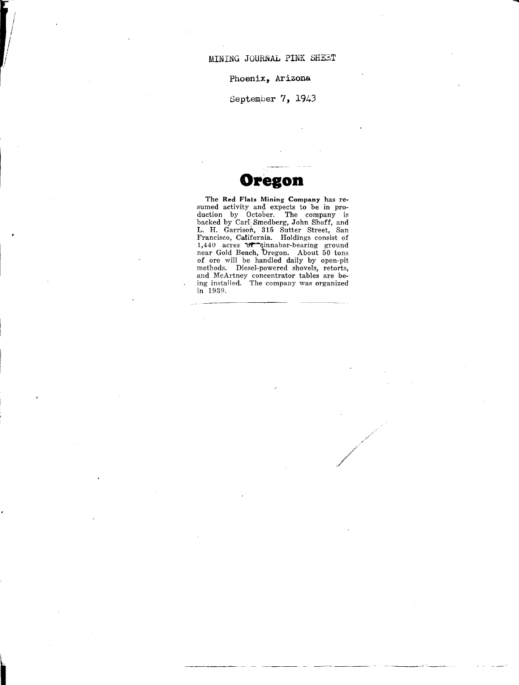.....

Phoenix, Arizona

September 7, 1943

## **Oregon**

The **Red Flats Mining Company** has resumed activity and expects to be in production by October. The company is backed by CarI Smedberg, John Shoff, and L. H. Garrison, 315 Sutter Street, San Francisco, California. Holdings consist of 1,440 acres or cinnabar-bearing ground near Gold Beach, 'bregon. About 50 tons of ore will be handled daily by open-pit methods. Diesel-powered shovels, retorts, and McArtney concentrator tables are being installed. The company was organized in 1930.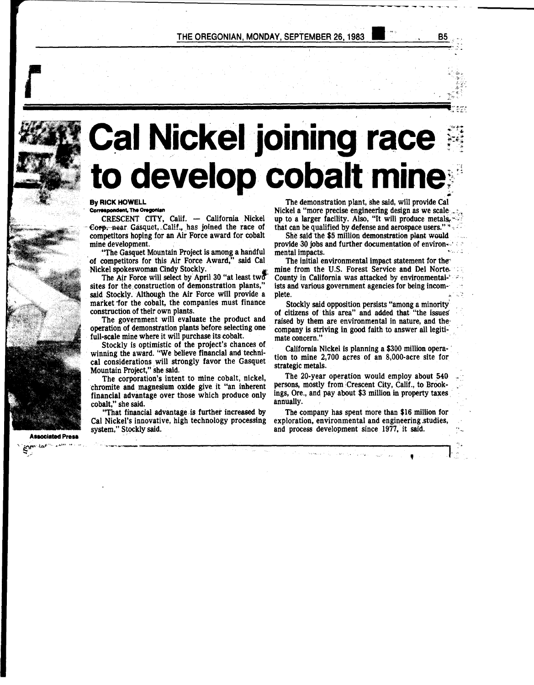

# **Cal Nickel joining race** to develop cobalt mine

**By RICK HOWELL** Correspondent, The Oregonian

CRESCENT CITY, Calif. - California Nickel Corp. near Gasquet, Calif., has joined the race of competitors hoping for an Air Force award for cobalt mine development.

"The Gasquet Mountain Project is among a handful of competitors for this Air Force Award," said Cal Nickel spokeswoman Cindy Stockly.

The Air Force will select by April 30 "at least two sites for the construction of demonstration plants," said Stockly. Although the Air Force will provide a market for the cobalt, the companies must finance construction of their own plants.

The government will evaluate the product and operation of demonstration plants before selecting one full-scale mine where it will purchase its cobalt.

Stockly is optimistic of the project's chances of winning the award. "We believe financial and technical considerations will strongly favor the Gasquet Mountain Project," she said.

The corporation's intent to mine cobalt, nickel, chromite and magnesium oxide give it "an inherent financial advantage over those which produce only cobalt," she said.

"That financial advantage is further increased by Cal Nickel's innovative, high technology processing system," Stockly said.

**Associated Press** 

n. Labor

The demonstration plant, she said, will provide Cal Nickel a "more precise engineering design as we scale up to a larger facility. Also, "It will produce metals. that can be qualified by defense and aerospace users." \*

She said the \$5 million demonstration plant would provide 30 jobs and further documentation of environmental impacts.

The initial environmental impact statement for the mine from the U.S. Forest Service and Del Norte County in California was attacked by environmentalists and various government agencies for being incomplete.

Stockly said opposition persists "among a minority" of citizens of this area" and added that "the issues" raised by them are environmental in nature, and the company is striving in good faith to answer all legitimate concern."

California Nickel is planning a \$300 million operation to mine 2,700 acres of an 8,000-acre site for strategic metals.

The 20-year operation would employ about 540 persons, mostly from Crescent City, Calif., to Brookings, Ore., and pay about \$3 million in property taxes annually.

The company has spent more than \$16 million for exploration, environmental and engineering studies, and process development since 1977, it said.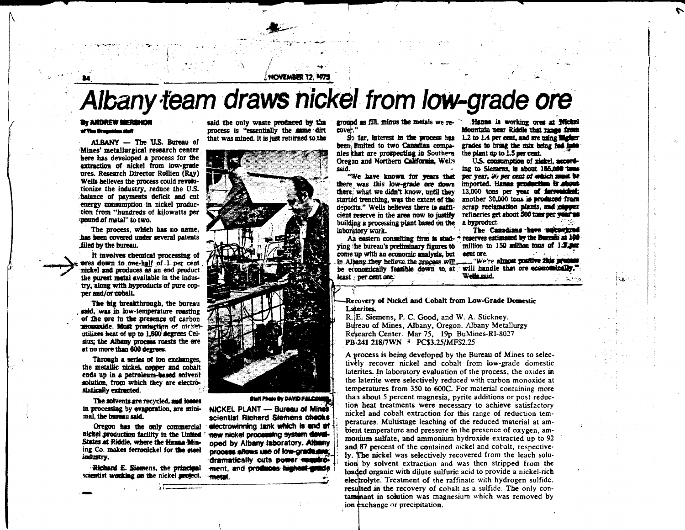NOVEMBER 12. 1975

# Albany team draws nickel from low-grade ore

#### **THE ANDREW MERSHOM** of The Greenwice shift

ALBANY - The U.S. Bureau of Mines' metallurgical research center here has developed a process for the extraction of nickel from low-grade ores. Research Director Rollien (Ray) Wells believes the process could revolutionize the industry, reduce the U.S. balance of navments deficit and cut energy consumption in nickel production from "hundreds of kilowatts per pound of metal" to two.

The process, which has no name, has been covered under several patents filed by the bureau.

It involves chemical processing of pres down to one-half of 1 per cent nickel and produces as an end product the purest metal available in the industry, along with byproducts of pure copper and/or cobalt.

The big breakthrough, the bureau said, was in low-temperature roasting of the ore in the presence of carbon monaxide. Most production of nicketutilizes heat of up to 1.600 degrees Celsius; the Albany process roasts the ore at no more than 600 degrees.

Through a series of ion exchanges, the metallic nickel, conner and cobalt ends up in a petroleum-hased solvent solution, from which they are electrostatically extracted.

The solvents are recycled, and losses in processing by evaporation, are minimal, the bureau said.

Oregon has the only commercial nickel production facility in the United States at Riddle, where the Hanna Mining Co. makes ferronickel for the steel industry.

Richard E. Siamens, the principal scientist working on the nickel arolect.

said the only waste produced by the process is "essentially the same dirt that was mined. It is just returned to the



#### Staff Photo By DAVID FALCOMER

NICKEL PLANT - Bureau of Mines scientist Richard Siemens checks electrowinning tank which is and of new nickel processing system developed by Albany laboratory. Albany propess allows use of fow-practages. dramatically cuts power resultoment, and produces highest-anade metal.

ground as fill, minus the metals we recover."

So far, interest in the process has been limited to two Canadian companies that are prospecting in Southern Oregon and Northern California. Wells said.

"We have known for years that there was this low-grade ore down there: what we didn't know, until they started trenching, was the extent of the deposits." Wells believes there is sufficient reserve in the area now to justify building a processing plant based on the a byproduct. laboratory work.

ying the bureau's preliminary figures to million to 150 million tons of 1.3 per come up with an economic analysis, but in Albany they believe the process will. be economically feasible down to at will handle that ore economically. least per cent ore.

Hanna is working over at Wickel Mountain near Riddle that range from 1.2 to 1.4 per cent, and are using discher grades to bring the mix being fed into the plant no to 1.5 per cent.

U.S. consumption of nickel, necording to Siemens, is about 165,000 tons per vear. 20 per cent of enhich must be imported. Hanna production is about-13,000 tons per vear of forrounded: another 30,000 tons is produced from serap reclamation plants, and chooser refineries get about 500 tons per year as

The Canadians have uncovered An eastern consulting firm is stud- \* reserves estimated by the Bureau at 100 eent ore. "We're almost positive this promoun Wells said.

Recovery of Nickel and Cobalt from Low-Grade Domestic **Laterites** 

R. E. Siemens, P. C. Good, and W. A. Stickney. Bureau of Mines, Albany, Oregon. Albany Metallurgy Research Center. Mar 75. 19p BuMines-RI-8027 PB-241 218/7WN > PC\$3.25/MF\$2.25

A process is being developed by the Bureau of Mines to selectively recover nickel and cobalt from low-grade domestic laterities. In laboratory evaluation of the process, the oxides in the laterite were selectively reduced with carbon monoxide at temperatures from 350 to 600C. For material containing more than about 5 percent magnesia, pyrite additions or post reduction heat treatments were necessary to achieve satisfactory nickel and cobalt extraction for this range of reduction temperatures. Multistage leaching of the reduced material at ambient temperature and pressure in the presence of oxygen, ammonium sulfate, and ammonium hydroxide extracted up to 92 and 87 percent of the contained nickel and cobalt, respectively. The nickel was selectively recovered from the leach solution by solvent extraction and was then stripped from the loaded organic with dilute sulfuric acid to provide a nickel-rich electrolyte. Treatment of the raffinate with hydrogen sulfide, resulted in the recovery of cobalt as a sulfide. The only contaminant in solution was magnesium which was removed by ion exchange or precipitation.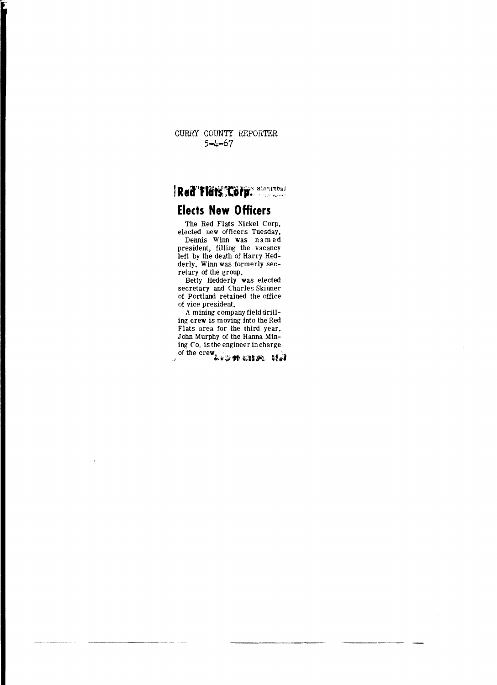CURRY COUNTY REPORTER  $5 - 4 - 67$ 

i

Red'Flurs Corp. allowed

### **Elects New Officers**

The Red Flats Nickel Corp. elected new officers Tuesday, Dennis Winn was named president, filling the vacancy left by the death of Harry Hed-

derly. Winn was formerly secretary of the group.<br>Betty Hedderly was elected

secretary and Charles Skinner<br>of Portland retained the office of vice president.

A mining company field drilling crew is moving into the Red Flats area for the third year. John Murphy of the Hanna Mining Co. is the engineer in charge of the crew Les we chiefs that